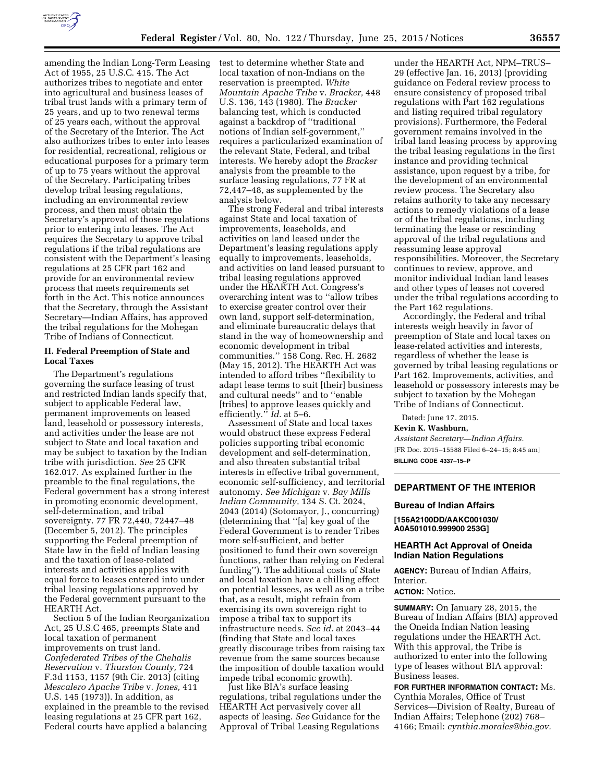

amending the Indian Long-Term Leasing Act of 1955, 25 U.S.C. 415. The Act authorizes tribes to negotiate and enter into agricultural and business leases of tribal trust lands with a primary term of 25 years, and up to two renewal terms of 25 years each, without the approval of the Secretary of the Interior. The Act also authorizes tribes to enter into leases for residential, recreational, religious or educational purposes for a primary term of up to 75 years without the approval of the Secretary. Participating tribes develop tribal leasing regulations, including an environmental review process, and then must obtain the Secretary's approval of those regulations prior to entering into leases. The Act requires the Secretary to approve tribal regulations if the tribal regulations are consistent with the Department's leasing regulations at 25 CFR part 162 and provide for an environmental review process that meets requirements set forth in the Act. This notice announces that the Secretary, through the Assistant Secretary—Indian Affairs, has approved the tribal regulations for the Mohegan Tribe of Indians of Connecticut.

### **II. Federal Preemption of State and Local Taxes**

The Department's regulations governing the surface leasing of trust and restricted Indian lands specify that, subject to applicable Federal law, permanent improvements on leased land, leasehold or possessory interests, and activities under the lease are not subject to State and local taxation and may be subject to taxation by the Indian tribe with jurisdiction. *See* 25 CFR 162.017. As explained further in the preamble to the final regulations, the Federal government has a strong interest in promoting economic development, self-determination, and tribal sovereignty. 77 FR 72,440, 72447–48 (December 5, 2012). The principles supporting the Federal preemption of State law in the field of Indian leasing and the taxation of lease-related interests and activities applies with equal force to leases entered into under tribal leasing regulations approved by the Federal government pursuant to the HEARTH Act.

Section 5 of the Indian Reorganization Act, 25 U.S.C 465, preempts State and local taxation of permanent improvements on trust land. *Confederated Tribes of the Chehalis Reservation* v. *Thurston County,* 724 F.3d 1153, 1157 (9th Cir. 2013) (citing *Mescalero Apache Tribe* v. *Jones,* 411 U.S. 145 (1973)). In addition, as explained in the preamble to the revised leasing regulations at 25 CFR part 162, Federal courts have applied a balancing

test to determine whether State and local taxation of non-Indians on the reservation is preempted. *White Mountain Apache Tribe* v. *Bracker,* 448 U.S. 136, 143 (1980). The *Bracker*  balancing test, which is conducted against a backdrop of ''traditional notions of Indian self-government,'' requires a particularized examination of the relevant State, Federal, and tribal interests. We hereby adopt the *Bracker*  analysis from the preamble to the surface leasing regulations, 77 FR at 72,447–48, as supplemented by the analysis below.

The strong Federal and tribal interests against State and local taxation of improvements, leaseholds, and activities on land leased under the Department's leasing regulations apply equally to improvements, leaseholds, and activities on land leased pursuant to tribal leasing regulations approved under the HEARTH Act. Congress's overarching intent was to ''allow tribes to exercise greater control over their own land, support self-determination, and eliminate bureaucratic delays that stand in the way of homeownership and economic development in tribal communities.'' 158 Cong. Rec. H. 2682 (May 15, 2012). The HEARTH Act was intended to afford tribes ''flexibility to adapt lease terms to suit [their] business and cultural needs'' and to ''enable [tribes] to approve leases quickly and efficiently.'' *Id.* at 5–6.

Assessment of State and local taxes would obstruct these express Federal policies supporting tribal economic development and self-determination, and also threaten substantial tribal interests in effective tribal government, economic self-sufficiency, and territorial autonomy. *See Michigan* v. *Bay Mills Indian Community,* 134 S. Ct. 2024, 2043 (2014) (Sotomayor, J., concurring) (determining that ''[a] key goal of the Federal Government is to render Tribes more self-sufficient, and better positioned to fund their own sovereign functions, rather than relying on Federal funding''). The additional costs of State and local taxation have a chilling effect on potential lessees, as well as on a tribe that, as a result, might refrain from exercising its own sovereign right to impose a tribal tax to support its infrastructure needs. *See id.* at 2043–44 (finding that State and local taxes greatly discourage tribes from raising tax revenue from the same sources because the imposition of double taxation would impede tribal economic growth).

Just like BIA's surface leasing regulations, tribal regulations under the HEARTH Act pervasively cover all aspects of leasing. *See* Guidance for the Approval of Tribal Leasing Regulations

under the HEARTH Act, NPM–TRUS– 29 (effective Jan. 16, 2013) (providing guidance on Federal review process to ensure consistency of proposed tribal regulations with Part 162 regulations and listing required tribal regulatory provisions). Furthermore, the Federal government remains involved in the tribal land leasing process by approving the tribal leasing regulations in the first instance and providing technical assistance, upon request by a tribe, for the development of an environmental review process. The Secretary also retains authority to take any necessary actions to remedy violations of a lease or of the tribal regulations, including terminating the lease or rescinding approval of the tribal regulations and reassuming lease approval responsibilities. Moreover, the Secretary continues to review, approve, and monitor individual Indian land leases and other types of leases not covered under the tribal regulations according to the Part 162 regulations.

Accordingly, the Federal and tribal interests weigh heavily in favor of preemption of State and local taxes on lease-related activities and interests, regardless of whether the lease is governed by tribal leasing regulations or Part 162. Improvements, activities, and leasehold or possessory interests may be subject to taxation by the Mohegan Tribe of Indians of Connecticut.

Dated: June 17, 2015.

**Kevin K. Washburn,** 

*Assistant Secretary—Indian Affairs.*  [FR Doc. 2015–15588 Filed 6–24–15; 8:45 am] **BILLING CODE 4337–15–P** 

### **DEPARTMENT OF THE INTERIOR**

### **Bureau of Indian Affairs**

**[156A2100DD/AAKC001030/ A0A501010.999900 253G]** 

## **HEARTH Act Approval of Oneida Indian Nation Regulations**

**AGENCY:** Bureau of Indian Affairs, Interior.

### **ACTION:** Notice.

**SUMMARY:** On January 28, 2015, the Bureau of Indian Affairs (BIA) approved the Oneida Indian Nation leasing regulations under the HEARTH Act. With this approval, the Tribe is authorized to enter into the following type of leases without BIA approval: Business leases.

**FOR FURTHER INFORMATION CONTACT:** Ms. Cynthia Morales, Office of Trust Services—Division of Realty, Bureau of Indian Affairs; Telephone (202) 768– 4166; Email: *[cynthia.morales@bia.gov.](mailto:cynthia.morales@bia.gov)*